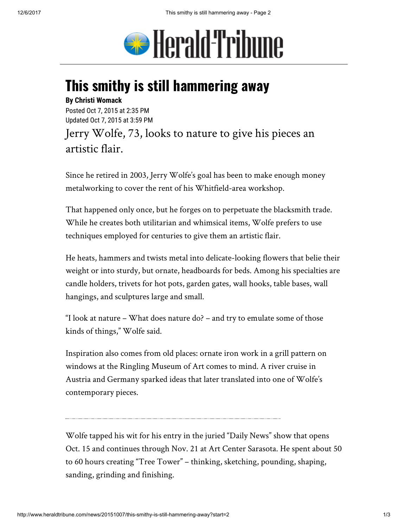

## This smithy is still hammering away

## By Christi Womack

Posted Oct 7, 2015 at 2:35 PM Updated Oct 7, 2015 at 3:59 PM

Jerry Wolfe, 73, looks to nature to give his pieces an artistic flair.

Since he retired in 2003, Jerry Wolfe's goal has been to make enough money metalworking to cover the rent of his Whitfield-area workshop.

That happened only once, but he forges on to perpetuate the blacksmith trade. While he creates both utilitarian and whimsical items, Wolfe prefers to use techniques employed for centuries to give them an artistic flair.

He heats, hammers and twists metal into delicate-looking flowers that belie their weight or into sturdy, but ornate, headboards for beds. Among his specialties are candle holders, trivets for hot pots, garden gates, wall hooks, table bases, wall hangings, and sculptures large and small.

"I look at nature – What does nature do? – and try to emulate some of those kinds of things," Wolfe said.

Inspiration also comes from old places: ornate iron work in a grill pattern on windows at the Ringling Museum of Art comes to mind. A river cruise in Austria and Germany sparked ideas that later translated into one of Wolfe's contemporary pieces.

Wolfe tapped his wit for his entry in the juried "Daily News" show that opens Oct. 15 and continues through Nov. 21 at Art Center Sarasota. He spent about 50 to 60 hours creating "Tree Tower" – thinking, sketching, pounding, shaping, sanding, grinding and finishing.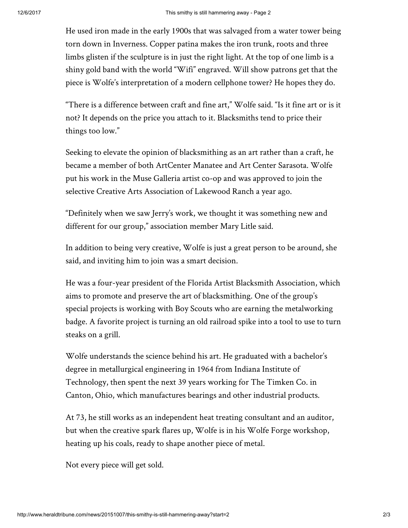He used iron made in the early 1900s that was salvaged from a water tower being torn down in Inverness. Copper patina makes the iron trunk, roots and three limbs glisten if the sculpture is in just the right light. At the top of one limb is a shiny gold band with the world "Wifi" engraved. Will show patrons get that the piece is Wolfe's interpretation of a modern cellphone tower? He hopes they do.

"There is a difference between craft and fine art," Wolfe said. "Is it fine art or is it not? It depends on the price you attach to it. Blacksmiths tend to price their things too low."

Seeking to elevate the opinion of blacksmithing as an art rather than a craft, he became a member of both ArtCenter Manatee and Art Center Sarasota. Wolfe put his work in the Muse Galleria artist co-op and was approved to join the selective Creative Arts Association of Lakewood Ranch a year ago.

"Definitely when we saw Jerry's work, we thought it was something new and different for our group," association member Mary Litle said.

In addition to being very creative, Wolfe is just a great person to be around, she said, and inviting him to join was a smart decision.

He was a four-year president of the Florida Artist Blacksmith Association, which aims to promote and preserve the art of blacksmithing. One of the group's special projects is working with Boy Scouts who are earning the metalworking badge. A favorite project is turning an old railroad spike into a tool to use to turn steaks on a grill.

Wolfe understands the science behind his art. He graduated with a bachelor's degree in metallurgical engineering in 1964 from Indiana Institute of Technology, then spent the next 39 years working for The Timken Co. in Canton, Ohio, which manufactures bearings and other industrial products.

At 73, he still works as an independent heat treating consultant and an auditor, but when the creative spark flares up, Wolfe is in his Wolfe Forge workshop, heating up his coals, ready to shape another piece of metal.

Not every piece will get sold.